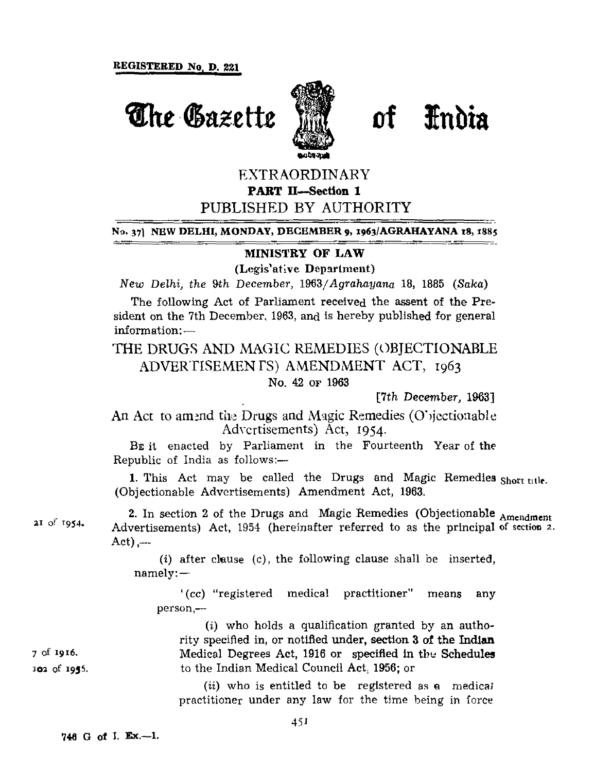

**The Gazette Will of India** 

## EXTRAORDINARY **PART II—Section 1**

# PUBLISHED BY AUTHORITY

#### **No. 37]** NEW **DELHI, MONDAY, DECEMBER 9, 1963/AGRAHAYANA 18, 1885**

#### **MIN1STKY OF LAW**

(Legis'ative Department)

*New Delhi, the 9th December,* 1965/*Agrahayana* 18, 1885 *(Saka)*

The following Act of Parliament received the assent of the President on the 7th December, 1963, and is hereby published for general information: —

THE DRUGS AND MAGIC REMEDIES (OBJECTIONABLE ADVERTISEMENTS) AMENDMENT ACT, 1963

No. 42 OF 1963

[7th December, 1963]

An Act to amend the Drugs and Magic Remedies (O'iectionable Advertisements) Act, 1954.

BE it enacted by Parliament in the Fourteenth Year of the Republic of India as follows:—

1. This Act may be called the Drugs and Magic Remedies **Short tile.** (Objectionable Advertisements) Amendment Act, 1963.

2. In section 2 of the Drugs and Magic Remedies (Objectionable Amendment Advertisements) Act, 1954 (hereinafter referred to as the principal of section 2.  $Act)$ ,---

(i) after clause (c), the following clause shall be inserted, namely: —

' *(cc)* "registered medical practitioner" means any person,—

(i) who holds a qualification granted by an authority specified in, or notified under, section 3 of the Indian Medical Degrees Act, 1916 or specified in the Schedules to the Indian Medical Council Act, 1956; or

(*ii*) who is entitled to be registered as a medical practitioner under any law for the time being in force

**21 of 1954.**

**7 of 1916. 102 of 1935.**

**746 G of I. Ex.—1.**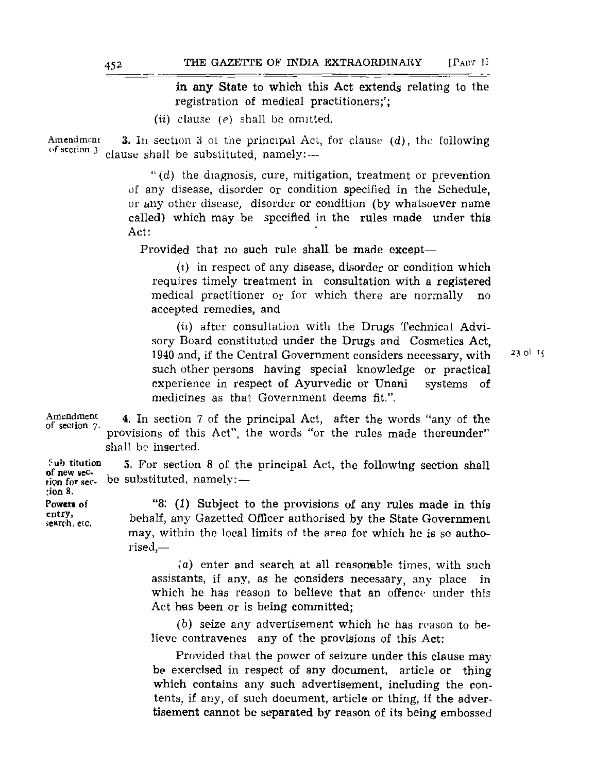in any State to which this Act extends relating to the registration of medical practitioners;';

*(ii)* clause *(e)* shall be omitted.

3. In section 3 oi the principal Act, for clause (d), the following clause shall be substituted, namely: — Amendmcni of section 3

> $''(d)$  the diagnosis, cure, mitigation, treatment or prevention uf any disease, disorder or condition specified in the Schedule, or any other disease, disorder or condition (by whatsoever name called) which may be specified in the rules made under this Act:

Provided that no such rule shall be made except—

*(i)* in respect of any disease, disorder or condition which requires timely treatment in consultation with a registered medical practitioner or for which there are normally no accepted remedies, and

*(ii)* after consultation with the Drugs Technical Advisory Board constituted under the Drugs and Cosmetics Act, 1940 and, if the Central Government considers necessary, with such other persons having special knowledge or practical experience in respect of Ayurvedic or Unani systems of medicines as that Government deems fit.".

Amendment

of section 7.

4. In section 7 of the principal Act, after the words "any of the provisions of this Act", the words "or the rules made thereunder" shall be inserted.

5. For section 8 of the principal Act, the following section shall be substituted, namely: — Sub titution of new section for sec- ;ion 8.

Powers of entry, search, etc.

"8." *(1)* Subject to the provisions of any rules made in this behalf, any Gazetted Officer authorised by the State Government may, within the local limits of the area for which he is so authorised,—

(a) enter and search at all reasonable times, with such assistants, if any, as he considers necessary, any place in which he has reason to believe that an offence under this Act hes been or is being committed;

(b) seize any advertisement which he has reason to believe contravenes any of the provisions of this Act:

Provided that the power of seizure under this clause may be exercised in respect of any document, article or thing which contains any such advertisement, including the contents, if any, of such document, article or thing, if the advertisement cannot be separated by reason of its being embossed **23 ol it**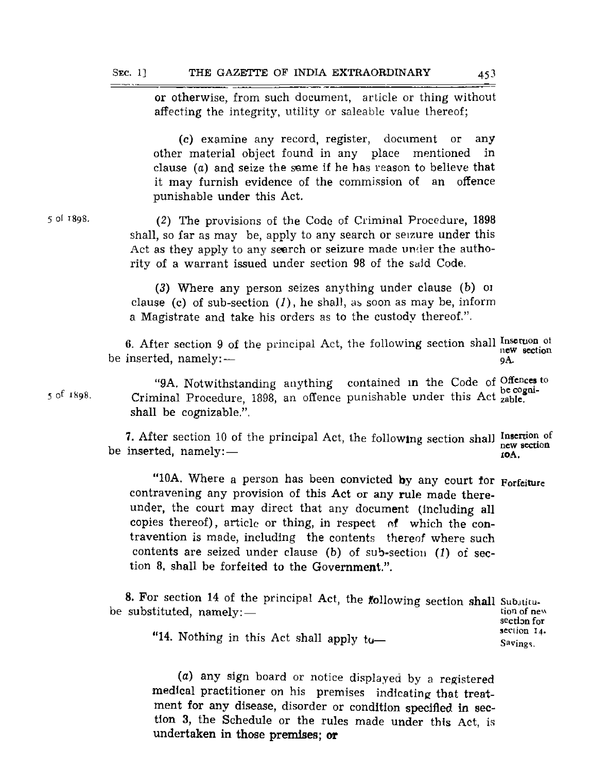or otherwise, from such document, article or thing without affecting the integrity, utility or saleable value thereof;

(c) examine any record, register, document or any other material object found in any place mentioned in clause (a) and seize the same if he has reason to believe that it may furnish evidence of the commission of an offence punishable under this Act.

(2) The provisions of the Code of Criminal Procedure, 1898 shall, so far as may be, apply to any search or seizure under this Act as they apply to any seerch or seizure made under the authority of a warrant issued under section 98 of the said Code.

(3) Where any person seizes anything under clause (b) 01 clause (c) of sub-section  $(1)$ , he shall, as soon as may be, inform a Magistrate and take his orders as to the custody thereof.".

6. After section 9 of the principal Act, the following section shall insertion of be inserted, namely: new section **QA.**

"9A. Notwithstanding anything contained in the Code of  $Omega_{\text{on}}$ Criminal Procedure, 1898, an offence punishable under this Act  $_{\text{zable}}^{\text{occ}}$ shall be cognizable.". be cogni-

7. After section 10 of the principal Act, the following section shall Insertion of be inserted, namely: new section **iOA,**

"10A. Where a person has been convicted by any court for Forfeiture contravening any provision of this Act or any rule made thereunder, the court may direct that any document (including all copies thereof), article or thing, in respect of which the contravention is made, including the contents thereof where such contents are seized under clause (b) of sub-section *(1)* of section 8, shall be forfeited to the Government.".

8. For section 14 of the principal Act, the following section shall Substitube substituted, namely: tion of new section for section 14. "14. Nothing in this Act shall apply to— Savings.

(a) any sign board or notice displayed by a registered medical practitioner on his premises indicating that treatment for any disease, disorder or condition specified in section 3, the Schedule or the rules made under this Act, is undertaken in those premises; or

**5 of 1K98.**

5 ol 1898.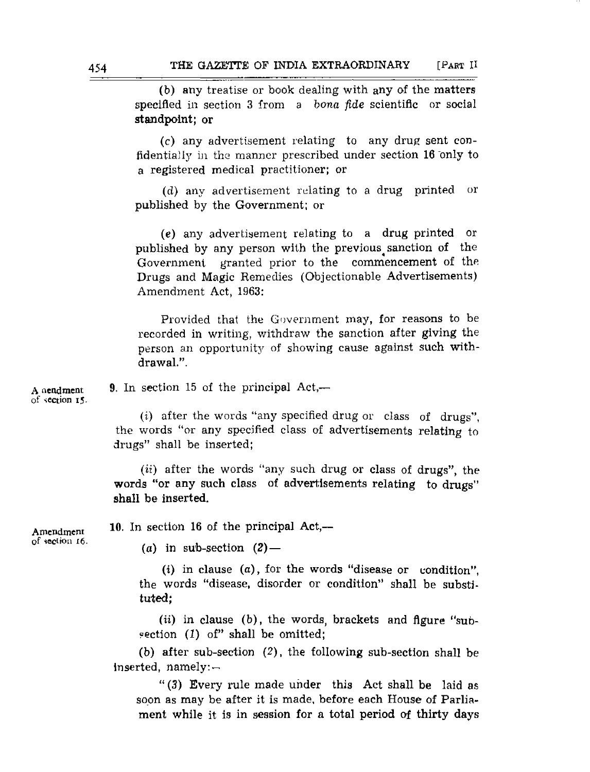(b) any treatise or book dealing with any of the matters specified in section 3 from a *bona fide* scientific or social standpoint; or

(c) any advertisement relating to any drug sent confidentially in the manner prescribed under section 16 only to a registered medical practitioner; or

(d) any advertisement relating to a drug printed or published by the Government; or

(e) any advertisement relating to a drug printed or published by any person with the previous^ sanction of the Government granted prior to the commencement of the Drugs and Magic Remedies (Objectionable Advertisements) Amendment Act, 1963:

Provided that the Government may, for reasons to be recorded in writing, withdraw the sanction after giving the person an opportunity of showing cause against such withdrawal.".

A nendment of section 15.

9. In section 15 of the principal Act,—

(i) after the words "any specified drug or class of drugs", the words "or any specified class of advertisements relating to drugs" shall be inserted;

*(ii)* after the words "any such drug or class of drugs", the words "or any such class of advertisements relating to drugs" shall be inserted.

Amendment of section 16. 10. In section 16 of the principal Act,—

(a) in sub-section  $(2)$  —

(i) in clause  $(a)$ , for the words "disease or condition", the words "disease, disorder or condition" shall be substituted;

*(ii)* in clause (b), the words, brackets and figure "subsection  $(1)$  of" shall be omitted;

(b) after sub-section (2), the following sub-section shall be inserted, namely: —

" (3) Every rule made under this Act shall be laid as soon as may be after it is made, before each House of Parliament while it is in session for a total period of thirty days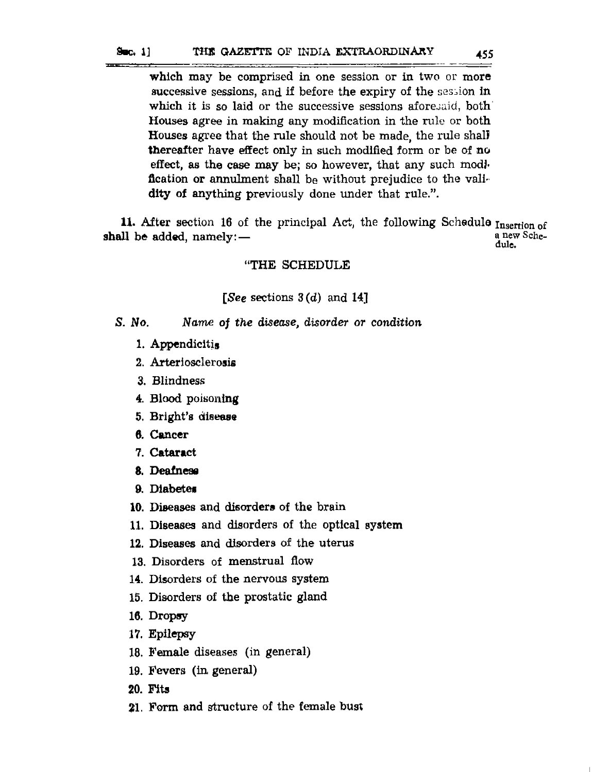#### $90<sub>6</sub>$ . 1] THE GAZETTE OF INDIA EXTRAORDINARY 455

which may be comprised in one session or in two or more successive sessions, and if before the expiry of the session in which it is so laid or the successive sessions aforesaid, both Houses agree in making any modification in the rule or both Houses agree that the rule should not be made, the rule shall thereafter have effect only in such modified form or be of no effect, as the case may be; so however, that any such modification or annulment shall be without prejudice to the validity of anything previously done under that rule.".

11. After section 16 of the principal Act, the following Schedule  $_{\rm Inserion~of}$ shall be added, namely: a new Schedule.

### "THE SCHEDULE

### [See sections  $3(d)$  and  $14$ ]

- S. *No Name* of *the disease, disorder or* condition
	- 1. Appendicitis
	- 2. Arteriosclerosis
	- 3. Blindness
	- 4. Blood poisoning
	- 5. Bright's disease
	- 6. Cancer
	- 7. Cataract
	- 8. Deafness
	- 9. Diabetes
	- 10. Diseases and disorders of the brain
	- 11. Diseases and disorders of the optical system
	- 12. Diseases and disorders of the uterus
	- 13. Disorders of menstrual flow
	- 14. Disorders of the nervous system
	- 15. Disorders of the prostatic gland
	- 16. Dropsy
	- 17. Epilepsy
	- 18. Female diseases (in general)
	- 19. Fevers (in, general)
	- 20. Fits
	- 21. Form and structure of the female bust